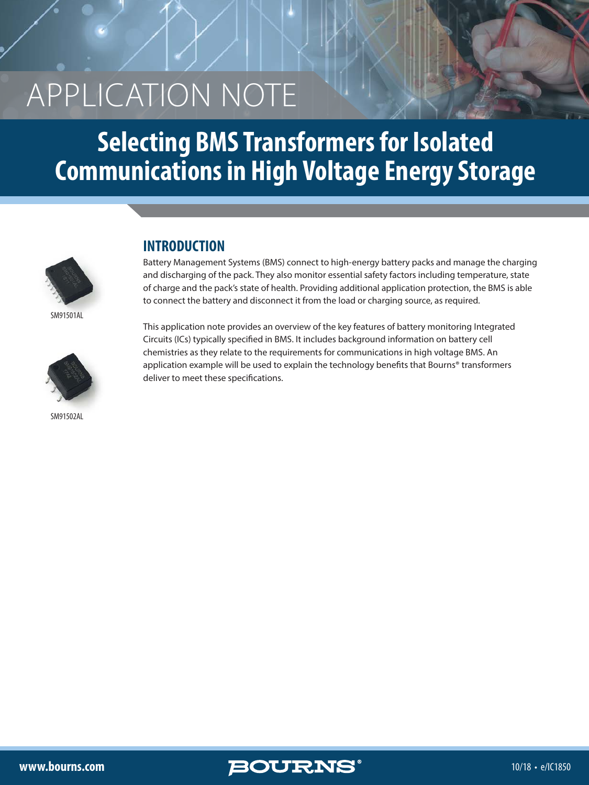# **Selecting BMS Transformers for Isolated Communications in High Voltage Energy Storage**



SM91501AL



SM91502AL

#### **INTRODUCTION**

Battery Management Systems (BMS) connect to high-energy battery packs and manage the charging and discharging of the pack. They also monitor essential safety factors including temperature, state of charge and the pack's state of health. Providing additional application protection, the BMS is able to connect the battery and disconnect it from the load or charging source, as required.

This application note provides an overview of the key features of battery monitoring Integrated Circuits (ICs) typically specified in BMS. It includes background information on battery cell chemistries as they relate to the requirements for communications in high voltage BMS. An application example will be used to explain the technology benefits that Bourns® transformers deliver to meet these specifications.

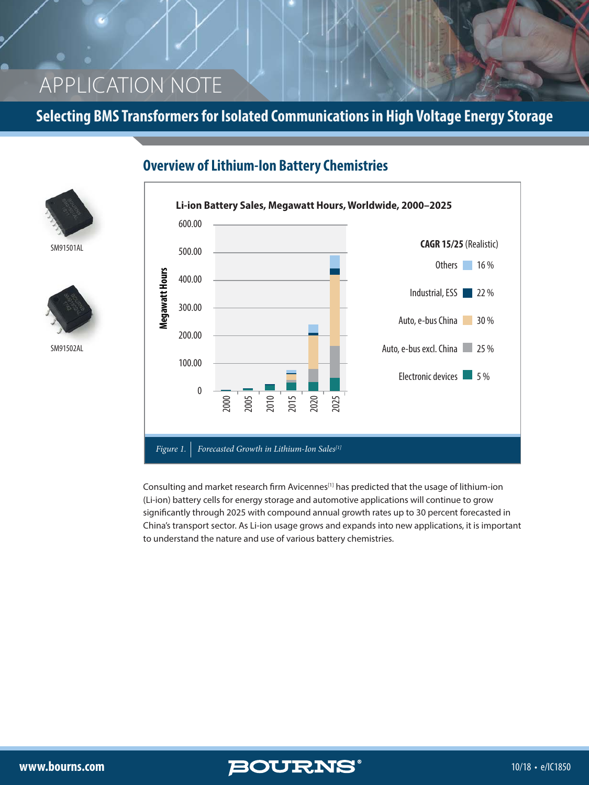### **Selecting BMS Transformers for Isolated Communications in High Voltage Energy Storage**



# **Overview of Lithium-Ion Battery Chemistries**

Consulting and market research firm Avicennes[1] has predicted that the usage of lithium-ion (Li-ion) battery cells for energy storage and automotive applications will continue to grow significantly through 2025 with compound annual growth rates up to 30 percent forecasted in China's transport sector. As Li-ion usage grows and expands into new applications, it is important to understand the nature and use of various battery chemistries.



SM91501AL



SM91502AL

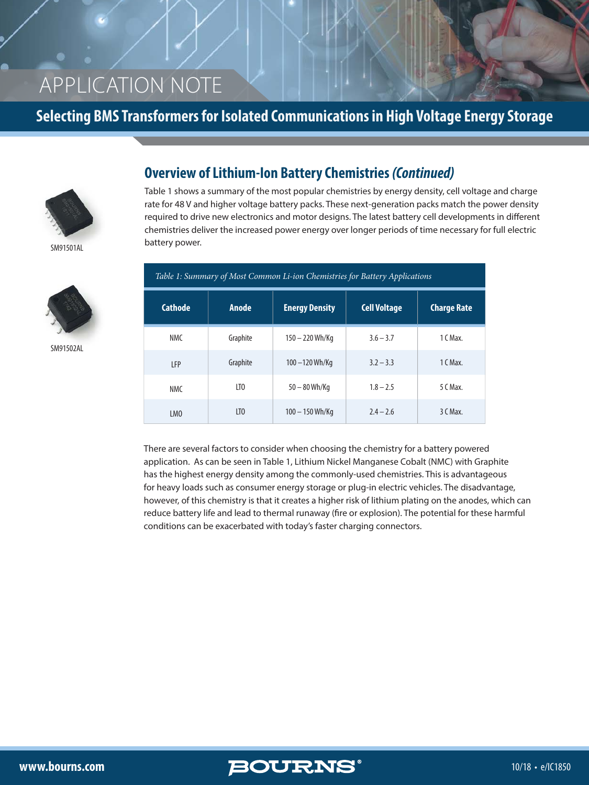# **Selecting BMS Transformers for Isolated Communications in High Voltage Energy Storage**



SM91501AL



SM91502AL

#### **Overview of Lithium-Ion Battery Chemistries** *(Continued)*

Table 1 shows a summary of the most popular chemistries by energy density, cell voltage and charge rate for 48 V and higher voltage battery packs. These next-generation packs match the power density required to drive new electronics and motor designs. The latest battery cell developments in different chemistries deliver the increased power energy over longer periods of time necessary for full electric battery power.

| Table 1: Summary of Most Common Li-ion Chemistries for Battery Applications |          |                       |                     |                    |
|-----------------------------------------------------------------------------|----------|-----------------------|---------------------|--------------------|
| <b>Cathode</b>                                                              | Anode    | <b>Energy Density</b> | <b>Cell Voltage</b> | <b>Charge Rate</b> |
| <b>NMC</b>                                                                  | Graphite | $150 - 220$ Wh/Kg     | $3.6 - 3.7$         | 1 C Max.           |
| <b>LFP</b>                                                                  | Graphite | 100-120 Wh/Kg         | $3.2 - 3.3$         | 1 C Max.           |
| <b>NMC</b>                                                                  | LTO      | $50 - 80$ Wh/Kg       | $1.8 - 2.5$         | $5$ C Max.         |
| LM <sub>0</sub>                                                             | LTO      | $100 - 150$ Wh/Kg     | $2.4 - 2.6$         | 3 C Max.           |

There are several factors to consider when choosing the chemistry for a battery powered application. As can be seen in Table 1, Lithium Nickel Manganese Cobalt (NMC) with Graphite has the highest energy density among the commonly-used chemistries. This is advantageous for heavy loads such as consumer energy storage or plug-in electric vehicles. The disadvantage, however, of this chemistry is that it creates a higher risk of lithium plating on the anodes, which can reduce battery life and lead to thermal runaway (fire or explosion). The potential for these harmful conditions can be exacerbated with today's faster charging connectors.

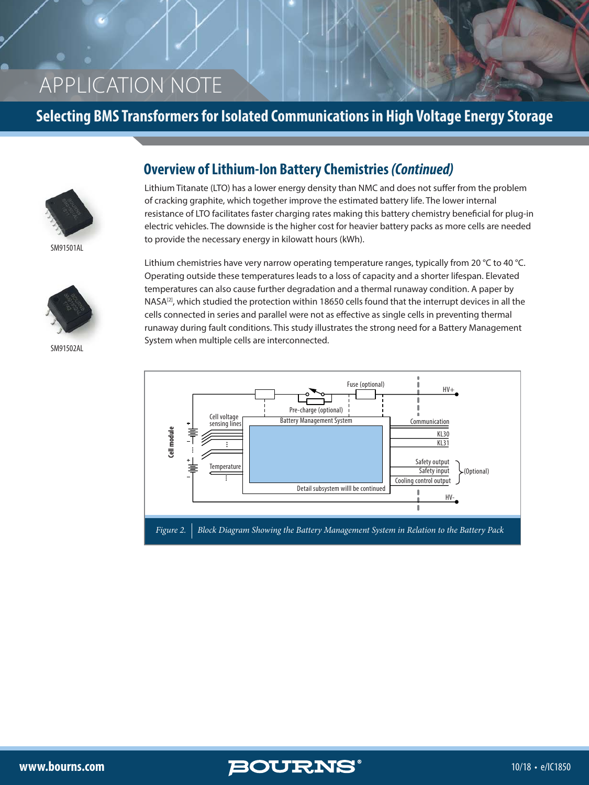# **Selecting BMS Transformers for Isolated Communications in High Voltage Energy Storage**



SM91501AL



SM91502AL

### **Overview of Lithium-Ion Battery Chemistries** *(Continued)*

Lithium Titanate (LTO) has a lower energy density than NMC and does not suffer from the problem of cracking graphite, which together improve the estimated battery life. The lower internal resistance of LTO facilitates faster charging rates making this battery chemistry beneficial for plug-in electric vehicles. The downside is the higher cost for heavier battery packs as more cells are needed to provide the necessary energy in kilowatt hours (kWh).

Lithium chemistries have very narrow operating temperature ranges, typically from 20 °C to 40 °C. Operating outside these temperatures leads to a loss of capacity and a shorter lifespan. Elevated temperatures can also cause further degradation and a thermal runaway condition. A paper by NASA<sup>[2]</sup>, which studied the protection within 18650 cells found that the interrupt devices in all the cells connected in series and parallel were not as effective as single cells in preventing thermal runaway during fault conditions. This study illustrates the strong need for a Battery Management System when multiple cells are interconnected.



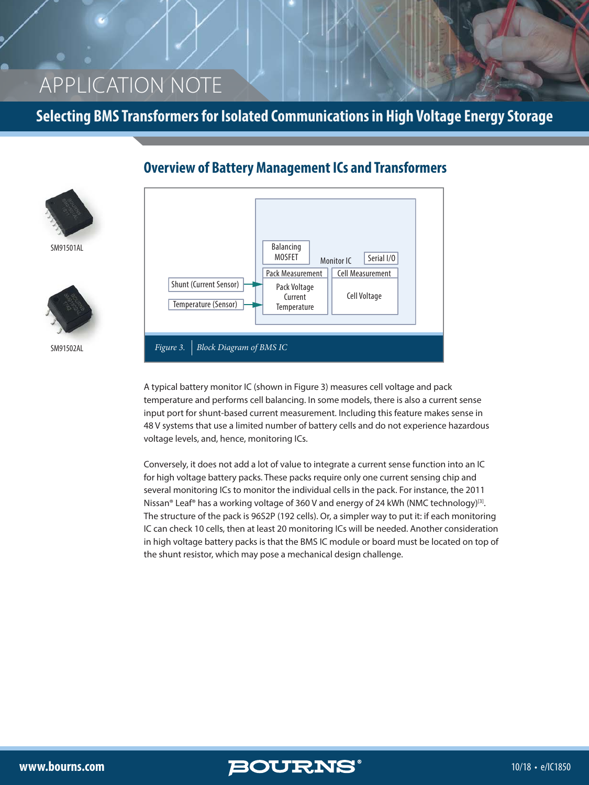SM91501AL

SM91502AL

### **Selecting BMS Transformers for Isolated Communications in High Voltage Energy Storage**



### **Overview of Battery Management ICs and Transformers**

A typical battery monitor IC (shown in Figure 3) measures cell voltage and pack temperature and performs cell balancing. In some models, there is also a current sense input port for shunt-based current measurement. Including this feature makes sense in 48 V systems that use a limited number of battery cells and do not experience hazardous voltage levels, and, hence, monitoring ICs.

Conversely, it does not add a lot of value to integrate a current sense function into an IC for high voltage battery packs. These packs require only one current sensing chip and several monitoring ICs to monitor the individual cells in the pack. For instance, the 2011 Nissan® Leaf® has a working voltage of 360 V and energy of 24 kWh (NMC technology)<sup>[3]</sup>. The structure of the pack is 96S2P (192 cells). Or, a simpler way to put it: if each monitoring IC can check 10 cells, then at least 20 monitoring ICs will be needed. Another consideration in high voltage battery packs is that the BMS IC module or board must be located on top of the shunt resistor, which may pose a mechanical design challenge.

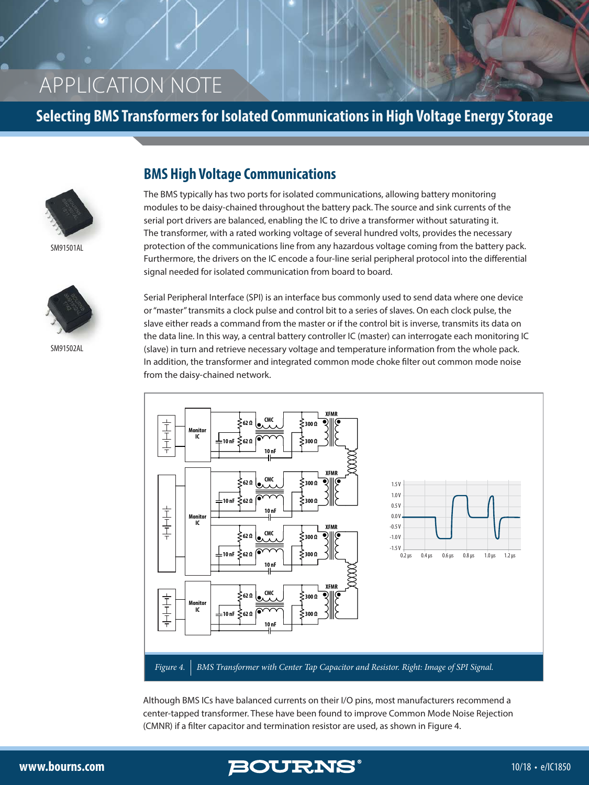### **Selecting BMS Transformers for Isolated Communications in High Voltage Energy Storage**



SM91501AL



SM91502AL

#### **BMS High Voltage Communications**

The BMS typically has two ports for isolated communications, allowing battery monitoring modules to be daisy-chained throughout the battery pack. The source and sink currents of the serial port drivers are balanced, enabling the IC to drive a transformer without saturating it. The transformer, with a rated working voltage of several hundred volts, provides the necessary protection of the communications line from any hazardous voltage coming from the battery pack. Furthermore, the drivers on the IC encode a four-line serial peripheral protocol into the differential signal needed for isolated communication from board to board.

Serial Peripheral Interface (SPI) is an interface bus commonly used to send data where one device or "master" transmits a clock pulse and control bit to a series of slaves. On each clock pulse, the slave either reads a command from the master or if the control bit is inverse, transmits its data on the data line. In this way, a central battery controller IC (master) can interrogate each monitoring IC (slave) in turn and retrieve necessary voltage and temperature information from the whole pack. In addition, the transformer and integrated common mode choke filter out common mode noise from the daisy-chained network.



Although BMS ICs have balanced currents on their I/O pins, most manufacturers recommend a center-tapped transformer. These have been found to improve Common Mode Noise Rejection (CMNR) if a filter capacitor and termination resistor are used, as shown in Figure 4.

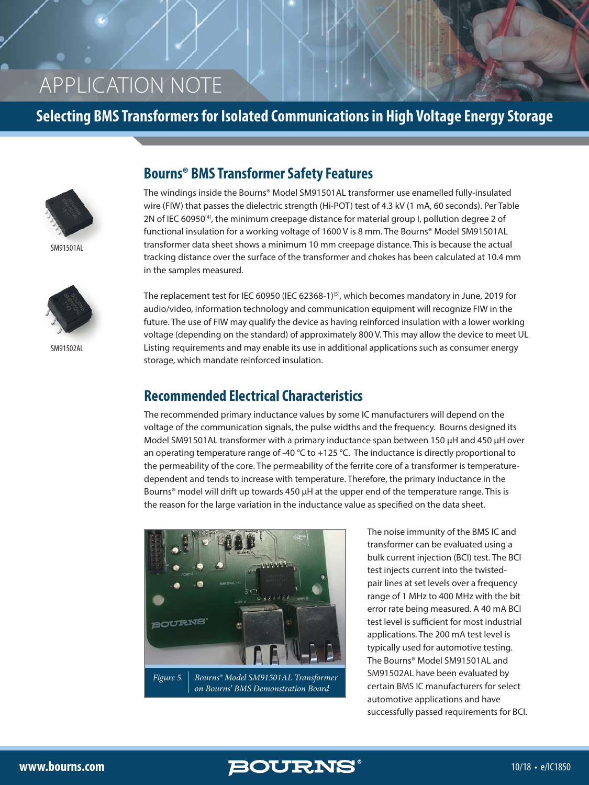# **Selecting BMS Transformers for Isolated Communications in High Voltage Energy Storage**



SM91501AL



SM91502AL

#### **Bourns® BMS Transformer Safety Features**

The windings inside the Bourns® Model SM91501AL transformer use enamelled fully-insulated wire (FIW) that passes the dielectric strength (Hi-POT) test of 4.3 kV (1 mA, 60 seconds). Per Table 2N of IEC 60950<sup>[4]</sup>, the minimum creepage distance for material group I, pollution degree 2 of functional insulation for a working voltage of 1600 V is 8 mm. The Bourns® Model SM91501AL transformer data sheet shows a minimum 10 mm creepage distance. This is because the actual tracking distance over the surface of the transformer and chokes has been calculated at 10.4 mm in the samples measured.

The replacement test for IEC 60950 (IEC 62368-1)<sup>[5]</sup>, which becomes mandatory in June, 2019 for audio/video, information technology and communication equipment will recognize FIW in the future. The use of FIW may qualify the device as having reinforced insulation with a lower working voltage (depending on the standard) of approximately 800 V. This may allow the device to meet UL Listing requirements and may enable its use in additional applications such as consumer energy storage, which mandate reinforced insulation.

#### **Recommended Electrical Characteristics**

The recommended primary inductance values by some IC manufacturers will depend on the voltage of the communication signals, the pulse widths and the frequency. Bourns designed its Model SM91501AL transformer with a primary inductance span between 150 µH and 450 µH over an operating temperature range of -40 °C to +125 °C. The inductance is directly proportional to the permeability of the core. The permeability of the ferrite core of a transformer is temperaturedependent and tends to increase with temperature. Therefore, the primary inductance in the Bourns<sup>®</sup> model will drift up towards 450 µH at the upper end of the temperature range. This is the reason for the large variation in the inductance value as specified on the data sheet.



The noise immunity of the BMS IC and transformer can be evaluated using a bulk current injection (BCI) test. The BCI test injects current into the twistedpair lines at set levels over a frequency range of 1 MHz to 400 MHz with the bit error rate being measured. A 40 mA BCI test level is sufficient for most industrial applications. The 200 mA test level is typically used for automotive testing. The Bourns® Model SM91501AL and SM91502AL have been evaluated by certain BMS IC manufacturers for select automotive applications and have successfully passed requirements for BCI.